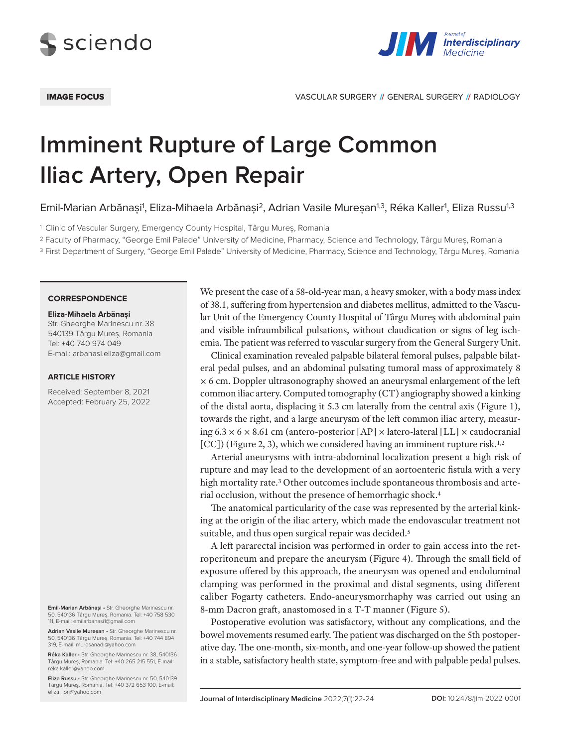



IMAGE FOCUS VASCULAR SURGERY **//** GENERAL SURGERY **//** RADIOLOGY

# **Imminent Rupture of Large Common Iliac Artery, Open Repair**

Emil-Marian Arbănași<sup>1</sup>, Eliza-Mihaela Arbănași<sup>2</sup>, Adrian Vasile Mureșan<sup>1,3</sup>, Réka Kaller<sup>1</sup>, Eliza Russu<sup>1,3</sup>

<sup>1</sup> Clinic of Vascular Surgery, Emergency County Hospital, Târgu Mureș, Romania

<sup>2</sup> Faculty of Pharmacy, "George Emil Palade" University of Medicine, Pharmacy, Science and Technology, Târgu Mureș, Romania

<sup>3</sup> First Department of Surgery, "George Emil Palade" University of Medicine, Pharmacy, Science and Technology, Târgu Mureș, Romania

### **CORRESPONDENCE**

#### **Eliza-Mihaela Arbănași**

Str. Gheorghe Marinescu nr. 38 540139 Târgu Mureș, Romania Tel: +40 740 974 049 E-mail: arbanasi.eliza@gmail.com

## **ARTICLE HISTORY**

Received: September 8, 2021 Accepted: February 25, 2022

**Emil-Marian Arbănași** • Str. Gheorghe Marinescu nr. 50, 540136 Târgu Mureș, Romania. Tel: +40 758 530 111, E-mail: emilarbanasi1@gmail.com

**Adrian Vasile Mureșan** • Str. Gheorghe Marinescu nr. 50, 540136 Târgu Mureș, Romania. Tel: +40 744 894 319, E-mail: muresanadi@yahoo.com

**Réka Kaller** • Str. Gheorghe Marinescu nr. 38, 540136 Târgu Mureș, Romania. Tel: +40 265 215 551, E-mail: reka.kaller@yahoo.com

**Eliza Russu** • Str. Gheorghe Marinescu nr. 50, 540139 Târgu Mureș, Romania. Tel: +40 372 653 100, E-mail: eliza\_ion@yahoo.com

We present the case of a 58-old-year man, a heavy smoker, with a body mass index of 38.1, suffering from hypertension and diabetes mellitus, admitted to the Vascular Unit of the Emergency County Hospital of Târgu Mureș with abdominal pain and visible infraumbilical pulsations, without claudication or signs of leg ischemia. The patient was referred to vascular surgery from the General Surgery Unit.

Clinical examination revealed palpable bilateral femoral pulses, palpable bilateral pedal pulses, and an abdominal pulsating tumoral mass of approximately 8 × 6 cm. Doppler ultrasonography showed an aneurysmal enlargement of the left common iliac artery. Computed tomography (CT) angiography showed a kinking of the distal aorta, displacing it 5.3 cm laterally from the central axis (Figure 1), towards the right, and a large aneurysm of the left common iliac artery, measuring  $6.3 \times 6 \times 8.61$  cm (antero-posterior  $[AP] \times$  latero-lateral  $[LL] \times$  caudocranial [CC]) (Figure 2, 3), which we considered having an imminent rupture risk.<sup>1,2</sup>

Arterial aneurysms with intra-abdominal localization present a high risk of rupture and may lead to the development of an aortoenteric fistula with a very high mortality rate.<sup>3</sup> Other outcomes include spontaneous thrombosis and arterial occlusion, without the presence of hemorrhagic shock.4

The anatomical particularity of the case was represented by the arterial kinking at the origin of the iliac artery, which made the endovascular treatment not suitable, and thus open surgical repair was decided.<sup>5</sup>

A left pararectal incision was performed in order to gain access into the retroperitoneum and prepare the aneurysm (Figure 4). Through the small field of exposure offered by this approach, the aneurysm was opened and endoluminal clamping was performed in the proximal and distal segments, using different caliber Fogarty catheters. Endo-aneurysmorrhaphy was carried out using an 8-mm Dacron graft, anastomosed in a T-T manner (Figure 5).

Postoperative evolution was satisfactory, without any complications, and the bowel movements resumed early. The patient was discharged on the 5th postoperative day. The one-month, six-month, and one-year follow-up showed the patient in a stable, satisfactory health state, symptom-free and with palpable pedal pulses.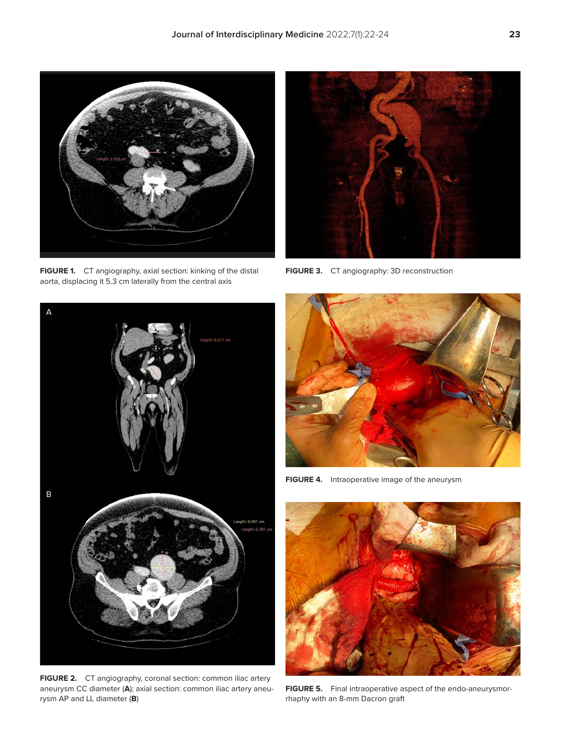

**FIGURE 1.** CT angiography, axial section: kinking of the distal aorta, displacing it 5.3 cm laterally from the central axis



**FIGURE 3.** CT angiography: 3D reconstruction



**FIGURE 2.** CT angiography, coronal section: common iliac artery aneurysm CC diameter (**A**); axial section: common iliac artery aneurysm AP and LL diameter (**B**)



**FIGURE 4.** Intraoperative image of the aneurysm



**FIGURE 5.** Final intraoperative aspect of the endo-aneurysmorrhaphy with an 8-mm Dacron graft